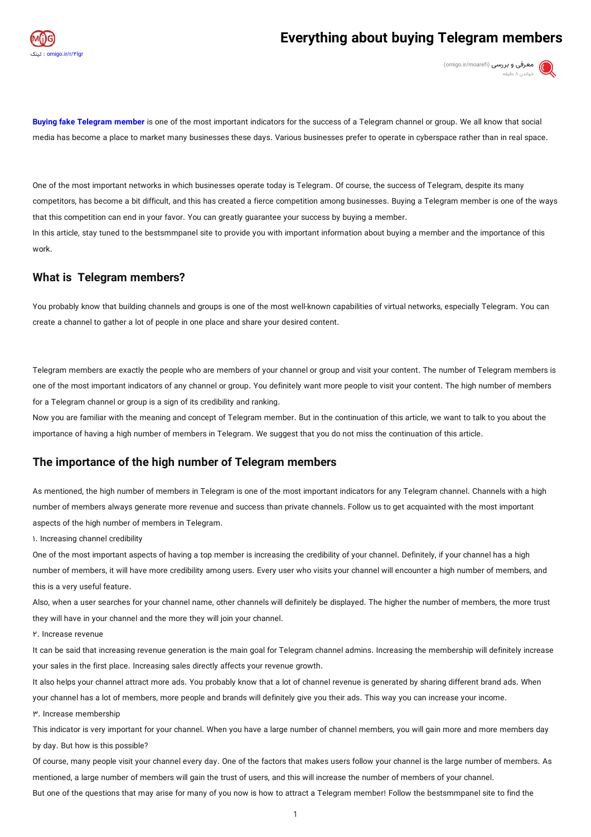

# **Everything about buying Telegram members**



Buying fake Telegram member is one of the most important indicators for the success of a Telegram channel or group. We all know that social media has become a place to market many businesses these days. Various businesses prefer to operate in cyberspace rather than in real space.

One of the most important networks in which businesses operate today is Telegram. Of course, the success of Telegram, despite its many competitors, has become a bit difficult, and this has created a fierce competition among businesses. Buying a Telegram member is one of the ways that this competition can end in your favor. You can greatly guarantee your success by buying a member. In this article, stay tuned to the bestsmmpanel site to provide you with important information about buying a member and the importance of this

work.

# **What is Telegram members?**

You probably know that building channels and groups is one of the most well-known capabilities of virtual networks, especially Telegram. You can create a channel to gather a lot of people in one place and share your desired content.

Telegram members are exactly the people who are members of your channel or group and visit your content. The number of Telegram members is one of the most important indicators of any channel or group. You definitely want more people to visit your content. The high number of members for a Telegram channel or group is a sign of its credibility and ranking.

Now you are familiar with the meaning and concept of Telegram member. But in the continuation of this article, we want to talk to you about the importance of having a high number of members in Telegram. We suggest that you do not miss the continuation of this article.

# **The importance of the high number of Telegram members**

As mentioned, the high number of members in Telegram is one of the most important indicators for any Telegram channel. Channels with a high number of members always generate more revenue and success than private channels. Follow us to get acquainted with the most important aspects of the high number of members in Telegram.

1. Increasing channel credibility

One of the most important aspects of having a top member is increasing the credibility of your channel. Definitely, if your channel has a high number of members, it will have more credibility among users. Every user who visits your channel will encounter a high number of members, and this is a very useful feature.

Also, when a user searches for your channel name, other channels will definitely be displayed. The higher the number of members, the more trust they will have in your channel and the more they will join your channel.

2. Increase revenue

It can be said that increasing revenue generation is the main goal for Telegram channel admins. Increasing the membership will definitely increase your sales in the first place. Increasing sales directly affects your revenue growth.

It also helps your channel attract more ads. You probably know that a lot of channel revenue is generated by sharing different brand ads. When your channel has a lot of members, more people and brands will definitely give you their ads. This way you can increase your income.

3. Increase membership

This indicator is very important for your channel. When you have a large number of channel members, you will gain more and more members day by day. But how is this possible?

Of course, many people visit your channel every day. One of the factors that makes users follow your channel is the large number of members. As mentioned, a large number of members will gain the trust of users, and this will increase the number of members of your channel. But one of the questions that may arise for many of you now is how to attract a Telegram member! Follow the bestsmmpanel site to find the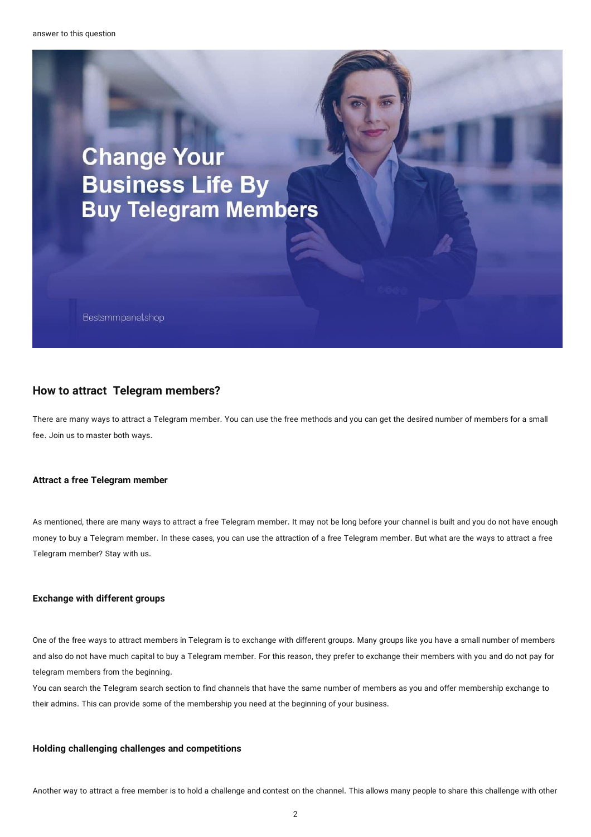

# **How to attract Telegram members?**

There are many ways to attract a Telegram member. You can use the free methods and you can get the desired number of members for a small fee. Join us to master both ways.

# **Attract a freeTelegram member**

As mentioned, there are many ways to attract a free Telegram member. It may not be long before your channel is built and you do not have enough money to buy a Telegram member. In these cases, you can use the attraction of a free Telegram member. But what are the ways to attract a free Telegram member? Stay with us.

### **Exchange with different groups**

One of the free ways to attract members in Telegram is to exchange with different groups. Many groups like you have a small number of members and also do not have much capital to buy a Telegram member. For this reason, they prefer to exchange their members with you and do not pay for telegram members from the beginning.

You can search the Telegram search section to find channels that have the same number of members as you and offer membership exchange to their admins. This can provide some of the membership you need at the beginning of your business.

### **Holding challenging challenges and competitions**

Another way to attract a free member is to hold a challenge and contest on the channel. This allows many people to share this challenge with other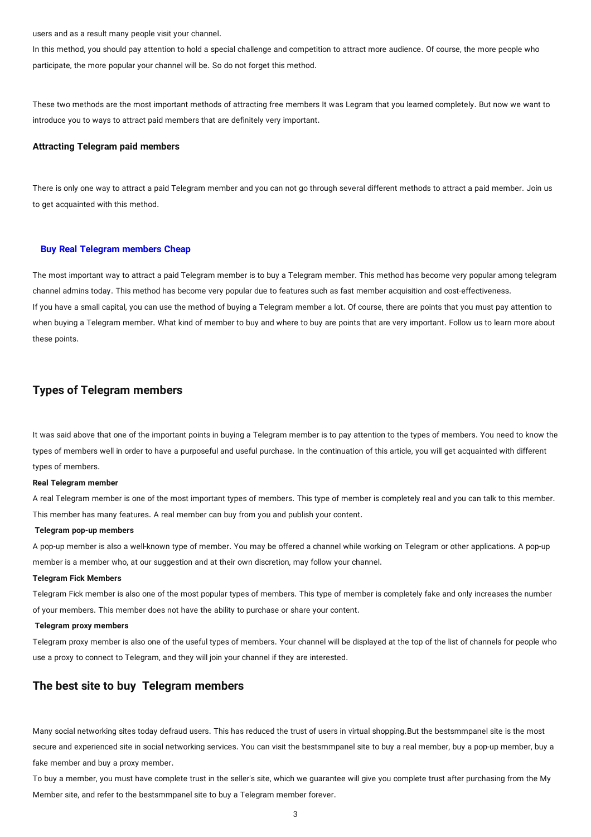users and as a result many people visit your channel.

In this method, you should pay attention to hold a special challenge and competition to attract more audience. Of course, the more people who participate, the more popular your channel will be. So do not forget this method.

These two methods are the most important methods of attracting free members It was Legram that you learned completely. But now we want to introduce you to ways to attract paid members that are definitely very important.

### **AttractingTelegram paid members**

There is only one way to attract a paid Telegram member and you can not go through several different methods to attract a paid member. Join us to get acquainted with this method.

#### **Buy** Real Telegram members Cheap

The most important way to attract a paid Telegram member is to buy a Telegram member. This method has become very popular among telegram channel admins today. This method has become very popular due to features such as fast member acquisition and cost-effectiveness. If you have a small capital, you can use the method of buying a Telegram member a lot. Of course, there are points that you must pay attention to when buying a Telegram member. What kind of member to buy and where to buy are points that are very important. Follow us to learn more about these points.

# **Types of Telegram members**

It was said above that one of the important points in buying a Telegram member is to pay attention to the types of members. You need to know the types of members well in order to have a purposeful and useful purchase. In the continuation of this article, you will get acquainted with different types of members.

#### **RealTelegram member**

A real Telegram member is one of the most important types of members. This type of member is completely real and you can talk to this member. This member has many features. A real member can buy from you and publish your content.

#### **Telegram pop-up members**

A pop-up member is also a well-known type of member. You may be offered a channel while working on Telegram or other applications. A pop-up member is a member who, at our suggestion and at their own discretion, may follow your channel.

#### **Telegram Fick Members**

Telegram Fick member is also one of the most popular types of members. This type of member is completely fake and only increases the number of your members. This member does not have the ability to purchase or share your content.

#### **Telegram proxy members**

Telegram proxy member is also one of the useful types of members. Your channel will be displayed at the top of the list of channels for people who use a proxy to connect to Telegram, and they will join your channel if they are interested.

### **The best site to buy Telegram members**

Many social networking sites today defraud users. This has reduced the trust of users in virtual shopping.But the bestsmmpanel site is the most secure and experienced site in social networking services. You can visit the bestsmmpanel site to buy a real member, buy a pop-up member, buy a fake member and buy a proxy member.

To buy a member, you must have complete trust in the seller's site, which we guarantee will give you complete trust after purchasing from the My Member site, and refer to the bestsmmpanel site to buy a Telegram member forever.